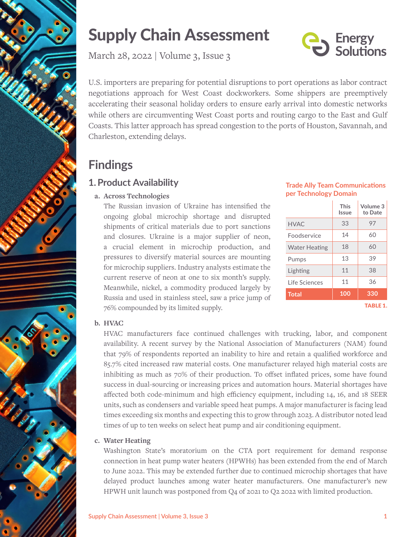

# Supply Chain Assessment

March 28, 2022 | Volume 3, Issue 3

Energy<br>Solutions

U.S. importers are preparing for potential disruptions to port operations as labor contract negotiations approach for West Coast dockworkers. Some shippers are preemptively accelerating their seasonal holiday orders to ensure early arrival into domestic networks while others are circumventing West Coast ports and routing cargo to the East and Gulf Coasts. This latter approach has spread congestion to the ports of Houston, Savannah, and Charleston, extending delays.

## **Findings**

## **1.Product Availability**

#### **a. Across Technologies**

The Russian invasion of Ukraine has intensified the ongoing global microchip shortage and disrupted shipments of critical materials due to port sanctions and closures. Ukraine is a major supplier of neon, a crucial element in microchip production, and pressures to diversify material sources are mounting for microchip suppliers. Industry analysts estimate the current reserve of neon at one to six month's supply. Meanwhile, nickel, a commodity produced largely by Russia and used in stainless steel, saw a price jump of 76% compounded by its limited supply.

| <b>Trade Ally Team Communications</b> |
|---------------------------------------|
| per Technology Domain                 |

|                      | <b>This</b><br>Issue | Volume 3<br>to Date |
|----------------------|----------------------|---------------------|
| <b>HVAC</b>          | 33                   | 97                  |
| Foodservice          | 14                   | 60                  |
| <b>Water Heating</b> | 18                   | 60                  |
| Pumps                | 13                   | 39                  |
| Lighting             | 11                   | 38                  |
| Life Sciences        | 11                   | 36                  |
| <b>Total</b>         | 100                  | 330                 |
|                      |                      | <b>TABLE 1.</b>     |

**b. HVAC**

HVAC manufacturers face continued challenges with trucking, labor, and component availability. A recent survey by the National Association of Manufacturers (NAM) found that 79% of respondents reported an inability to hire and retain a qualified workforce and 85.7% cited increased raw material costs. One manufacturer relayed high material costs are inhibiting as much as 70% of their production. To offset inflated prices, some have found success in dual-sourcing or increasing prices and automation hours. Material shortages have affected both code-minimum and high efficiency equipment, including 14, 16, and 18 SEER units, such as condensers and variable speed heat pumps. A major manufacturer is facing lead times exceeding six months and expecting this to grow through 2023. A distributor noted lead times of up to ten weeks on select heat pump and air conditioning equipment.

#### **c. Water Heating**

Washington State's moratorium on the CTA port requirement for demand response connection in heat pump water heaters (HPWHs) has been extended from the end of March to June 2022. This may be extended further due to continued microchip shortages that have delayed product launches among water heater manufacturers. One manufacturer's new HPWH unit launch was postponed from Q4 of 2021 to Q2 2022 with limited production.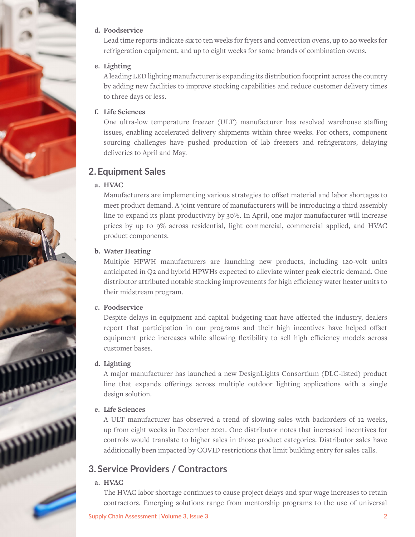#### **d. Foodservice**

Lead time reports indicate six to ten weeks for fryers and convection ovens, up to 20 weeks for refrigeration equipment, and up to eight weeks for some brands of combination ovens.

#### **e. Lighting**

A leading LED lighting manufacturer is expanding its distribution footprint across the country by adding new facilities to improve stocking capabilities and reduce customer delivery times to three days or less.

#### **f. Life Sciences**

One ultra-low temperature freezer (ULT) manufacturer has resolved warehouse staffing issues, enabling accelerated delivery shipments within three weeks. For others, component sourcing challenges have pushed production of lab freezers and refrigerators, delaying deliveries to April and May.

### **2.Equipment Sales**

#### **a. HVAC**

Manufacturers are implementing various strategies to offset material and labor shortages to meet product demand. A joint venture of manufacturers will be introducing a third assembly line to expand its plant productivity by 30%. In April, one major manufacturer will increase prices by up to 9% across residential, light commercial, commercial applied, and HVAC product components.

#### **b. Water Heating**

Multiple HPWH manufacturers are launching new products, including 120-volt units anticipated in Q2 and hybrid HPWHs expected to alleviate winter peak electric demand. One distributor attributed notable stocking improvements for high efficiency water heater units to their midstream program.

#### **c. Foodservice**

Despite delays in equipment and capital budgeting that have affected the industry, dealers report that participation in our programs and their high incentives have helped offset equipment price increases while allowing flexibility to sell high efficiency models across customer bases.

#### **d. Lighting**

A major manufacturer has launched a new DesignLights Consortium (DLC-listed) product line that expands offerings across multiple outdoor lighting applications with a single design solution.

#### **e. Life Sciences**

A ULT manufacturer has observed a trend of slowing sales with backorders of 12 weeks, up from eight weeks in December 2021. One distributor notes that increased incentives for controls would translate to higher sales in those product categories. Distributor sales have additionally been impacted by COVID restrictions that limit building entry for sales calls.

### **3. Service Providers / Contractors**

#### **a. HVAC**

The HVAC labor shortage continues to cause project delays and spur wage increases to retain contractors. Emerging solutions range from mentorship programs to the use of universal